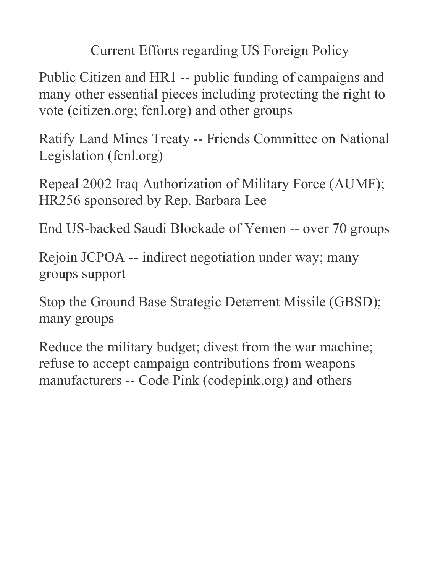Current Efforts regarding US Foreign Policy

Public Citizen and HR1 -- public funding of campaigns and many other essential pieces including protecting the right to vote (citizen.org; fcnl.org) and other groups

Ratify Land Mines Treaty -- Friends Committee on National Legislation (fcnl.org)

Repeal 2002 Iraq Authorization of Military Force (AUMF); HR256 sponsored by Rep. Barbara Lee

End US-backed Saudi Blockade of Yemen -- over 70 groups

Rejoin JCPOA -- indirect negotiation under way; many groups support

Stop the Ground Base Strategic Deterrent Missile (GBSD); many groups

Reduce the military budget; divest from the war machine; refuse to accept campaign contributions from weapons manufacturers -- Code Pink (codepink.org) and others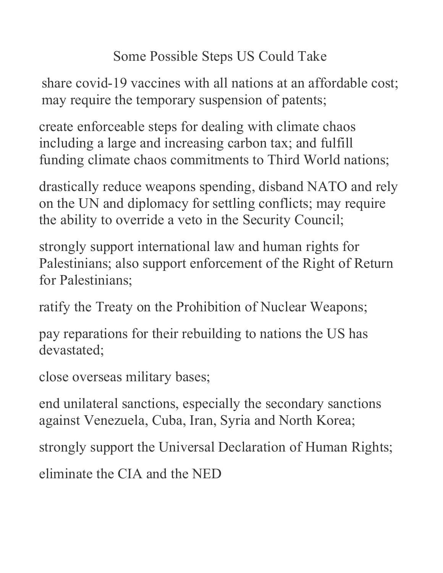## Some Possible Steps US Could Take

share covid-19 vaccines with all nations at an affordable cost; may require the temporary suspension of patents;

create enforceable steps for dealing with climate chaos including a large and increasing carbon tax; and fulfill funding climate chaos commitments to Third World nations;

drastically reduce weapons spending, disband NATO and rely on the UN and diplomacy for settling conflicts; may require the ability to override a veto in the Security Council;

strongly support international law and human rights for Palestinians; also support enforcement of the Right of Return for Palestinians;

ratify the Treaty on the Prohibition of Nuclear Weapons;

pay reparations for their rebuilding to nations the US has devastated;

close overseas military bases;

end unilateral sanctions, especially the secondary sanctions against Venezuela, Cuba, Iran, Syria and North Korea;

strongly support the Universal Declaration of Human Rights;

eliminate the CIA and the NED